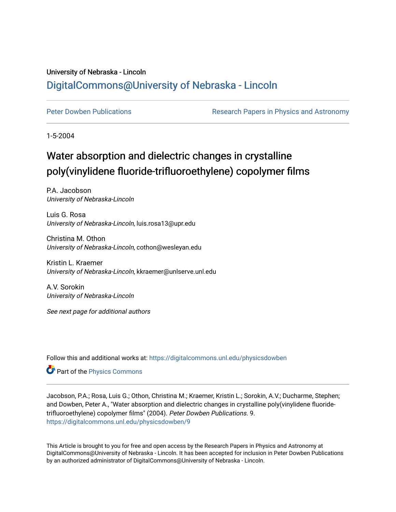## University of Nebraska - Lincoln [DigitalCommons@University of Nebraska - Lincoln](https://digitalcommons.unl.edu/)

[Peter Dowben Publications](https://digitalcommons.unl.edu/physicsdowben) **Research Papers in Physics and Astronomy** 

1-5-2004

## Water absorption and dielectric changes in crystalline poly(vinylidene fluoride-trifluoroethylene) copolymer films

P.A. Jacobson University of Nebraska-Lincoln

Luis G. Rosa University of Nebraska-Lincoln, luis.rosa13@upr.edu

Christina M. Othon University of Nebraska-Lincoln, cothon@wesleyan.edu

Kristin L. Kraemer University of Nebraska-Lincoln, kkraemer@unlserve.unl.edu

A.V. Sorokin University of Nebraska-Lincoln

See next page for additional authors

Follow this and additional works at: [https://digitalcommons.unl.edu/physicsdowben](https://digitalcommons.unl.edu/physicsdowben?utm_source=digitalcommons.unl.edu%2Fphysicsdowben%2F9&utm_medium=PDF&utm_campaign=PDFCoverPages) 

Part of the [Physics Commons](http://network.bepress.com/hgg/discipline/193?utm_source=digitalcommons.unl.edu%2Fphysicsdowben%2F9&utm_medium=PDF&utm_campaign=PDFCoverPages)

Jacobson, P.A.; Rosa, Luis G.; Othon, Christina M.; Kraemer, Kristin L.; Sorokin, A.V.; Ducharme, Stephen; and Dowben, Peter A., "Water absorption and dielectric changes in crystalline poly(vinylidene fluoridetrifluoroethylene) copolymer films" (2004). Peter Dowben Publications. 9. [https://digitalcommons.unl.edu/physicsdowben/9](https://digitalcommons.unl.edu/physicsdowben/9?utm_source=digitalcommons.unl.edu%2Fphysicsdowben%2F9&utm_medium=PDF&utm_campaign=PDFCoverPages) 

This Article is brought to you for free and open access by the Research Papers in Physics and Astronomy at DigitalCommons@University of Nebraska - Lincoln. It has been accepted for inclusion in Peter Dowben Publications by an authorized administrator of DigitalCommons@University of Nebraska - Lincoln.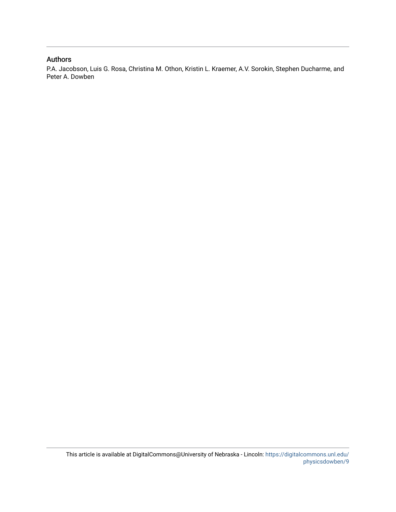## Authors

P.A. Jacobson, Luis G. Rosa, Christina M. Othon, Kristin L. Kraemer, A.V. Sorokin, Stephen Ducharme, and Peter A. Dowben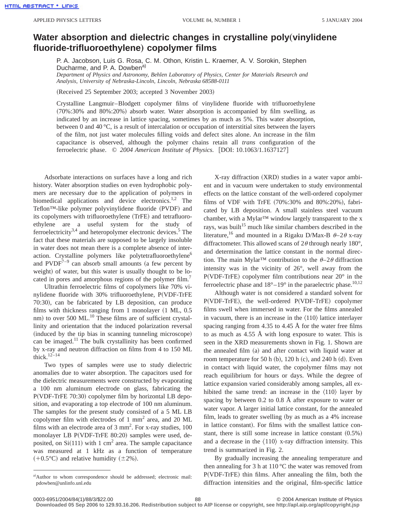## **Water absorption and dielectric changes in crystalline poly (vinylidene fluoride-trifluoroethylene**… **copolymer films**

P. A. Jacobson, Luis G. Rosa, C. M. Othon, Kristin L. Kraemer, A. V. Sorokin, Stephen Ducharme, and P. A. Dowben<sup>a)</sup>

*Department of Physics and Astronomy, Behlen Laboratory of Physics, Center for Materials Research and Analysis, University of Nebraska-Lincoln, Lincoln, Nebraska 68588-0111*

(Received 25 September 2003; accepted 3 November 2003)

Crystalline Langmuir–Blodgett copolymer films of vinylidene fluoride with trifluoroethylene  $(70\%:30\%$  and  $80\%:20\%)$  absorb water. Water absorption is accompanied by film swelling, as indicated by an increase in lattice spacing, sometimes by as much as 5%. This water absorption, between 0 and 40 °C, is a result of intercalation or occupation of interstitial sites between the layers of the film, not just water molecules filling voids and defect sites alone. An increase in the film capacitance is observed, although the polymer chains retain all *trans* configuration of the ferroelectric phase.  $\odot$  2004 American Institute of Physics. [DOI: 10.1063/1.1637127]

Adsorbate interactions on surfaces have a long and rich history. Water absorption studies on even hydrophobic polymers are necessary due to the application of polymers in biomedical applications and device electronics.<sup>1,2</sup> The Teflon<sup>™-like</sup> polymer polyvinylidene fluoride  $(PVDF)$  and its copolymers with trifluoroethylene (TrFE) and tetrafluoroethylene are a useful system for the study of ferroelectricity<sup>3,4</sup> and heteropolymer electronic devices.<sup>5</sup> The fact that these materials are supposed to be largely insoluble in water does not mean there is a complete absence of interaction. Crystalline polymers like polytetrafluoroethylene<sup>6</sup> and  $\text{PVDF}^{7-9}$  can absorb small amounts (a few percent by weight) of water, but this water is usually thought to be located in pores and amorphous regions of the polymer film.<sup>7</sup>

Ultrathin ferroelectric films of copolymers like 70% vinylidene fluoride with 30% trifluoroethylene, P(VDF-TrFE 70:30), can be fabricated by LB deposition, can produce films with thickness ranging from 1 monolayer  $(1 \text{ ML}, 0.5)$ nm) to over 500 ML.<sup>10</sup> These films are of sufficient crystallinity and orientation that the induced polarization reversal (induced by the tip bias in scanning tunneling microscope) can be imaged.<sup>11</sup> The bulk crystallinity has been confirmed by x-ray and neutron diffraction on films from 4 to 150 ML thick. $12-14$ 

Two types of samples were use to study dielectric anomalies due to water absorption. The capacitors used for the dielectric measurements were constructed by evaporating a 100 nm aluminum electrode on glass, fabricating the  $P(VDF-TrFE 70:30)$  copolymer film by horizontal LB deposition, and evaporating a top electrode of 100 nm aluminum. The samples for the present study consisted of a 5 ML LB copolymer film with electrodes of 1 mm2 area, and 20 ML films with an electrode area of  $3 \text{ mm}^2$ . For x-ray studies, 100 monolayer LB P(VDF-TrFE 80:20) samples were used, deposited, on  $Si(111)$  with 1 cm<sup>2</sup> area. The sample capacitance was measured at 1 kHz as a function of temperature  $(+0.5^{\circ}C)$  and relative humidity  $(\pm 2\%)$ .

X-ray diffraction (XRD) studies in a water vapor ambient and in vacuum were undertaken to study environmental effects on the lattice constant of the well-ordered copolymer films of VDF with TrFE  $(70\%:30\%$  and  $80\%:20\%)$ , fabricated by LB deposition. A small stainless steel vacuum chamber, with a Mylar™ window largely transparent to the x rays, was built<sup>15</sup> much like similar chambers described in the literature,<sup>16</sup> and mounted in a Rigaku D/Max-B  $\theta$ -2 $\theta$  x-ray diffractometer. This allowed scans of  $2\theta$  through nearly 180°, and determination the lattice constant in the normal direction. The main Mylar<sup>TM</sup> contribution to the  $\theta$ –2 $\theta$  diffraction intensity was in the vicinity of 26°, well away from the P(VDF-TrFE) copolymer film contributions near  $20^{\circ}$  in the ferroelectric phase and  $18^{\circ} - 19^{\circ}$  in the paraelectric phase.<sup>10,12</sup>

Although water is not considered a standard solvent for  $P(VDF-TrFE)$ , the well-ordered  $P(VDF-TrFE)$  copolymer films swell when immersed in water. For the films annealed in vacuum, there is an increase in the  $\langle 110 \rangle$  lattice interlayer spacing ranging from 4.35 to 4.45 Å for the water free films to as much as 4.55 Å with long exposure to water. This is seen in the XRD measurements shown in Fig. 1. Shown are the annealed film  $(a)$  and after contact with liquid water at room temperature for 50 h  $(b)$ , 120 h  $(c)$ , and 240 h  $(d)$ . Even in contact with liquid water, the copolymer films may not reach equilibrium for hours or days. While the degree of lattice expansion varied considerably among samples, all exhibited the same trend: an increase in the  $\langle 110 \rangle$  layer by spacing by between 0.2 to 0.8 Å after exposure to water or water vapor. A larger initial lattice constant, for the annealed film, leads to greater swelling (by as much as a  $4\%$  increase in lattice constant). For films with the smallest lattice constant, there is still some increase in lattice constant  $(0.5\%)$ and a decrease in the  $\langle 110 \rangle$  x-ray diffraction intensity. This trend is summarized in Fig. 2.

By gradually increasing the annealing temperature and then annealing for 3 h at  $110\,^{\circ}\text{C}$  the water was removed from  $P(VDF-TrFE)$  thin films. After annealing the film, both the diffraction intensities and the original, film-specific lattice

**Downloaded 05 Sep 2006 to 129.93.16.206. Redistribution subject to AIP license or copyright, see http://apl.aip.org/apl/copyright.jsp**

a)Author to whom correspondence should be addressed; electronic mail: pdowben@unlinfo.unl.edu

<sup>0003-6951/2004/84(1)/88/3/\$22.00 © 2004</sup> American Institute of Physics 88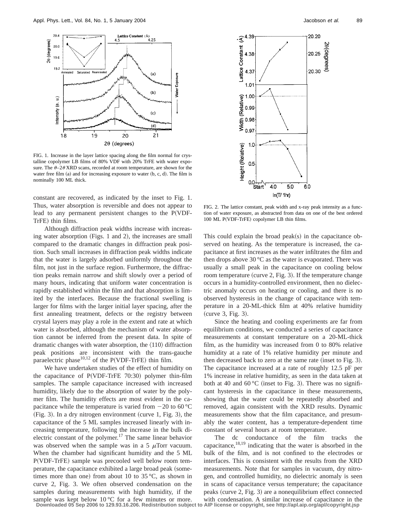

FIG. 1. Increase in the layer lattice spacing along the film normal for crystalline copolymer LB films of 80% VDF with 20% TrFE with water exposure. The  $\theta$ –2 $\theta$ XRD scans, recorded at room temperature, are shown for the water free film  $(a)$  and for increasing exposure to water  $(b, c, d)$ . The film is nominally 100 ML thick.

constant are recovered, as indicated by the inset to Fig. 1. Thus, water absorption is reversible and does not appear to lead to any permanent persistent changes to the  $P(VDF-$ TrFE) thin films.

Although diffraction peak widths increase with increasing water absorption (Figs. 1 and 2), the increases are small compared to the dramatic changes in diffraction peak position. Such small increases in diffraction peak widths indicate that the water is largely adsorbed uniformly throughout the film, not just in the surface region. Furthermore, the diffraction peaks remain narrow and shift slowly over a period of many hours, indicating that uniform water concentration is rapidly established within the film and that absorption is limited by the interfaces. Because the fractional swelling is larger for films with the larger initial layer spacing, after the first annealing treatment, defects or the registry between crystal layers may play a role in the extent and rate at which water is absorbed, although the mechanism of water absorption cannot be inferred from the present data. In spite of dramatic changes with water absorption, the  $\langle 110 \rangle$  diffraction peak positions are inconsistent with the trans-gauche paraelectric phase $10,12$  of the P(VDF-TrFE) thin film.

We have undertaken studies of the effect of humidity on the capacitance of  $P(VDF-TrFE 70:30)$  polymer thin-film samples. The sample capacitance increased with increased humidity, likely due to the absorption of water by the polymer film. The humidity effects are most evident in the capacitance while the temperature is varied from  $-20$  to 60 °C  $(Fig. 3)$ . In a dry nitrogen environment (curve 1, Fig. 3), the capacitance of the 5 ML samples increased linearly with increasing temperature, following the increase in the bulk dielectric constant of the polymer.<sup>17</sup> The same linear behavior was observed when the sample was in a 5  $\mu$ Torr vacuum. When the chamber had significant humidity and the 5 ML P(VDF-TrFE) sample was precooled well below room temperature, the capacitance exhibited a large broad peak (sometimes more than one) from about 10 to 35  $\degree$ C, as shown in curve 2, Fig. 3. We often observed condensation on the samples during measurements with high humidity, if the sample was kept below  $10^{\circ}$ C for a few minutes or more. **Downloaded 05 Sep 2006 to 129.93.16.206. Redistribution subject to AIP license or copyright, see http://apl.aip.org/apl/copyright.jsp**



FIG. 2. The lattice constant, peak width and x-ray peak intensity as a function of water exposure, as abstracted from data on one of the best ordered 100 ML P(VDF-TrFE) copolymer LB thin films.

This could explain the broad  $peak(s)$  in the capacitance observed on heating. As the temperature is increased, the capacitance at first increases as the water infiltrates the film and then drops above 30 °C as the water is evaporated. There was usually a small peak in the capacitance on cooling below room temperature (curve  $2$ , Fig. 3). If the temperature change occurs in a humidity-controlled environment, then no dielectric anomaly occurs on heating or cooling, and there is no observed hysteresis in the change of capacitance with temperature in a 20-ML-thick film at 40% relative humidity  $(curve 3, Fig. 3).$ 

Since the heating and cooling experiments are far from equilibrium conditions, we conducted a series of capacitance measurements at constant temperature on a 20-ML-thick film, as the humidity was increased from 0 to 80% relative humidity at a rate of 1% relative humidity per minute and then decreased back to zero at the same rate (inset to Fig.  $3$ ). The capacitance increased at a rate of roughly 12.5 pF per 1% increase in relative humidity, as seen in the data taken at both at 40 and 60 °C (inset to Fig. 3). There was no significant hysteresis in the capacitance in these measurements, showing that the water could be repeatedly absorbed and removed, again consistent with the XRD results. Dynamic measurements show that the film capacitance, and presumably the water content, has a temperature-dependent time constant of several hours at room temperature.

The dc conductance of the film tracks the capacitance, $18,19$  indicating that the water is absorbed in the bulk of the film, and is not confined to the electrodes or interfaces. This is consistent with the results from the XRD measurements. Note that for samples in vacuum, dry nitrogen, and controlled humidity, no dielectric anomaly is seen in scans of capacitance versus temperature; the capacitance peaks (curve  $2$ , Fig. 3) are a nonequilibrium effect connected with condensation. A similar increase of capacitance in the